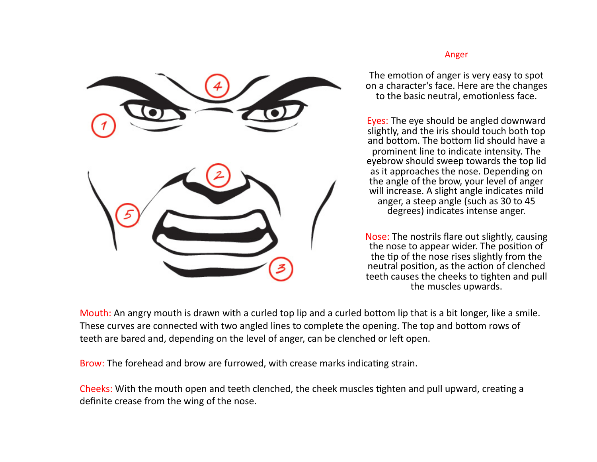

#### Anger

The emotion of anger is very easy to spot on a character's face. Here are the changes to the basic neutral, emotionless face.

Eyes: The eye should be angled downward slightly, and the iris should touch both top and bottom. The bottom lid should have a prominent line to indicate intensity. The eyebrow should sweep towards the top lid as it approaches the nose. Depending on the angle of the brow, your level of anger will increase. A slight angle indicates mild anger, a steep angle (such as 30 to 45 degrees) indicates intense anger.

Nose: The nostrils flare out slightly, causing the nose to appear wider. The position of the tip of the nose rises slightly from the neutral position, as the action of clenched teeth causes the cheeks to tighten and pull the muscles upwards.

Mouth: An angry mouth is drawn with a curled top lip and a curled bottom lip that is a bit longer, like a smile. These curves are connected with two angled lines to complete the opening. The top and bottom rows of teeth are bared and, depending on the level of anger, can be clenched or left open.

Brow: The forehead and brow are furrowed, with crease marks indicating strain.

Cheeks: With the mouth open and teeth clenched, the cheek muscles tighten and pull upward, creating a definite crease from the wing of the nose.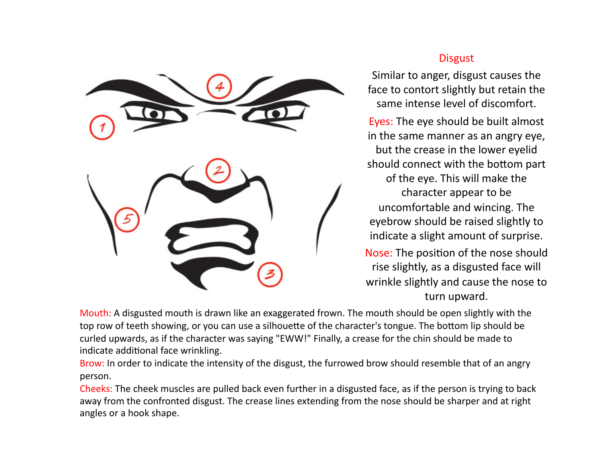

# **Disgust**

Similar to anger, disgust causes the face to contort slightly but retain the same intense level of discomfort.

Eyes: The eye should be built almost in the same manner as an angry eye, but the crease in the lower eyelid should connect with the bottom part of the eye. This will make the character appear to be. uncomfortable and wincing. The eyebrow should be raised slightly to indicate a slight amount of surprise. Nose: The position of the nose should

rise slightly, as a disgusted face will wrinkle slightly and cause the nose to turn upward.

Mouth: A disgusted mouth is drawn like an exaggerated frown. The mouth should be open slightly with the top row of teeth showing, or you can use a silhouette of the character's tongue. The bottom lip should be curled upwards, as if the character was saying "EWW!" Finally, a crease for the chin should be made to indicate additional face wrinkling.

Brow: In order to indicate the intensity of the disgust, the furrowed brow should resemble that of an angry person. 

Cheeks: The cheek muscles are pulled back even further in a disgusted face, as if the person is trying to back away from the confronted disgust. The crease lines extending from the nose should be sharper and at right angles or a hook shape.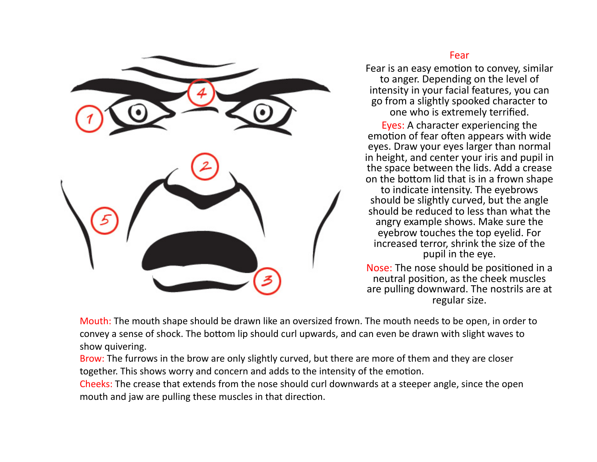

### Fear

Fear is an easy emotion to convey, similar to anger. Depending on the level of intensity in your facial features, you can go from a slightly spooked character to one who is extremely terrified.

Eyes: A character experiencing the emotion of fear often appears with wide eyes. Draw your eyes larger than normal in height, and center your iris and pupil in the space between the lids. Add a crease on the bottom lid that is in a frown shape to indicate intensity. The eyebrows should be slightly curved, but the angle should be reduced to less than what the angry example shows. Make sure the eyebrow touches the top eyelid. For increased terror, shrink the size of the pupil in the eye.

Nose: The nose should be positioned in a neutral position, as the cheek muscles are pulling downward. The nostrils are at regular size.

Mouth: The mouth shape should be drawn like an oversized frown. The mouth needs to be open, in order to convey a sense of shock. The bottom lip should curl upwards, and can even be drawn with slight waves to show quivering.

Brow: The furrows in the brow are only slightly curved, but there are more of them and they are closer together. This shows worry and concern and adds to the intensity of the emotion.

Cheeks: The crease that extends from the nose should curl downwards at a steeper angle, since the open mouth and jaw are pulling these muscles in that direction.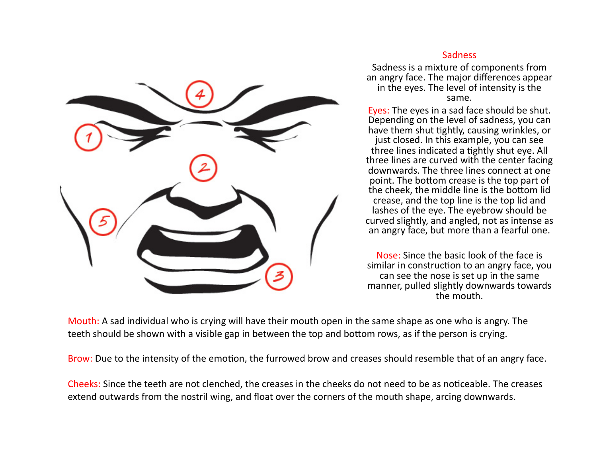

### Sadness

Sadness is a mixture of components from an angry face. The major differences appear in the eyes. The level of intensity is the same. 

Eyes: The eyes in a sad face should be shut. Depending on the level of sadness, you can have them shut tightly, causing wrinkles, or just closed. In this example, you can see three lines indicated a tightly shut eye. All three lines are curved with the center facing downwards. The three lines connect at one point. The bottom crease is the top part of the cheek, the middle line is the bottom lid crease, and the top line is the top lid and lashes of the eye. The eyebrow should be curved slightly, and angled, not as intense as an angry face, but more than a fearful one.

Nose: Since the basic look of the face is similar in construction to an angry face, you can see the nose is set up in the same manner, pulled slightly downwards towards the mouth.

Mouth: A sad individual who is crying will have their mouth open in the same shape as one who is angry. The teeth should be shown with a visible gap in between the top and bottom rows, as if the person is crying.

Brow: Due to the intensity of the emotion, the furrowed brow and creases should resemble that of an angry face.

Cheeks: Since the teeth are not clenched, the creases in the cheeks do not need to be as noticeable. The creases extend outwards from the nostril wing, and float over the corners of the mouth shape, arcing downwards.